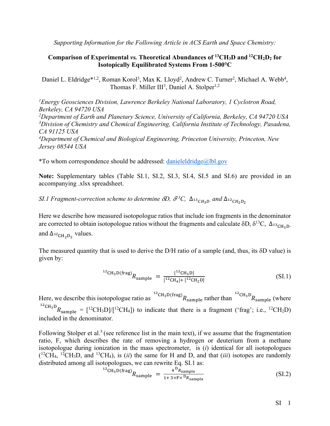*Supporting Information for the Following Article in ACS Earth and Space Chemistry:*

## **Comparison of Experimental** *vs.* **Theoretical Abundances of 13CH3D and 12CH2D2 for Isotopically Equilibrated Systems From 1-500°C**

Daniel L. Eldridge\*<sup>1,2</sup>, Roman Korol<sup>3</sup>, Max K. Lloyd<sup>2</sup>, Andrew C. Turner<sup>2</sup>, Michael A. Webb<sup>4</sup>, Thomas F. Miller III<sup>3</sup>, Daniel A. Stolper<sup>1,2</sup>

*1 Energy Geosciences Division, Lawrence Berkeley National Laboratory, 1 Cyclotron Road, Berkeley, CA 94720 USA*

*2 Department of Earth and Planetary Science, University of California, Berkeley, CA 94720 USA 3 Division of Chemistry and Chemical Engineering, California Institute of Technology, Pasadena, CA 91125 USA*

*4 Department of Chemical and Biological Engineering, Princeton University, Princeton, New Jersey 08544 USA*

\*To whom correspondence should be addressed:  $d$ anieleldridge@lbl.gov

**Note:** Supplementary tables (Table SI.1, SI.2, SI.3, SI.4, SI.5 and SI.6) are provided in an accompanying .xlsx spreadsheet.

*SI.1 Fragment-correction scheme to determine*  $\delta D$ *,*  $\delta^{3}C$ *,*  $\Delta_{13}C_{H_2D}$ *, and*  $\Delta_{12}C_{H_2D_2}$ 

Here we describe how measured isotopologue ratios that include ion fragments in the denominator are corrected to obtain isotopologue ratios without the fragments and calculate  $\delta D$ ,  $\delta^{13}C$ ,  $\Delta^{13}$ <sub>CH<sub>2</sub>D</sub>, and  $\Delta_{^{12}CH_2D_2}$  values.

The measured quantity that is used to derive the D/H ratio of a sample (and, thus, its  $\delta$ D value) is given by:

$$
^{12}CH_3D(frag)R_{sample} = \frac{[^{12}CH_3D]}{[^{12}CH_4]+[^{12}CH_2D]}
$$
(SI.1)

Here, we describe this isotopologue ratio as  $^{12}$ CH<sub>3</sub>D(frag)<sub> $R$ sample rather than  $^{12}$ CH<sub>3</sub>D<sub> $R$ sample</sub> (where</sub> <sup>12</sup>CH<sub>3</sub>D<sub>R<sub>sample</sub> = [<sup>12</sup>CH<sub>3</sub>D]/[<sup>12</sup>CH<sub>4</sub>]) to indicate that there is a fragment ('frag'; i.e., <sup>12</sup>CH<sub>2</sub>D)</sub> included in the denominator.

Following Stolper et al.<sup>5</sup> (see reference list in the main text), if we assume that the fragmentation ratio, F, which describes the rate of removing a hydrogen or deuterium from a methane isotopologue during ionization in the mass spectrometer, is (*i*) identical for all isotopologues  $(^{12}CH_4$ ,  $^{12}CH_3D$ , and  $^{13}CH_4$ ), is *(ii)* the same for H and D, and that *(iii)* isotopes are randomly distributed among all isotopologues, we can rewrite Eq. SI.1 as:

$$
^{12}CH_3D(frag)R_{sample} = \frac{4^D R_{sample}}{1 + 3 \times F \times^D R_{sample}} \tag{S1.2}
$$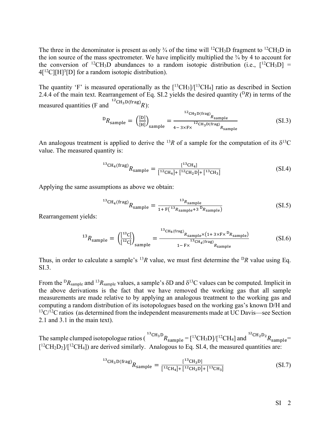The three in the denominator is present as only  $\frac{3}{4}$  of the time will <sup>12</sup>CH<sub>3</sub>D fragment to <sup>12</sup>CH<sub>2</sub>D in the ion source of the mass spectrometer. We have implicitly multiplied the  $\frac{3}{4}$  by 4 to account for the conversion of <sup>12</sup>CH<sub>3</sub>D abundances to a random isotopic distribution (i.e.,  $[^{12}CH_3D] =$  $4[^{12}C][H]^{3}[D]$  for a random isotopic distribution).

The quantity 'F' is measured operationally as the  $[^{13}CH_3]/[^{13}CH_4]$  ratio as described in Section 2.4.4 of the main text. Rearrangement of Eq. SI.2 yields the desired quantity  $(PR)$  in terms of the measured quantities (F and  $^{12}$ CH<sub>3</sub>D(frag)<sub>R</sub>):

$$
{}^{D}R_{\text{sample}} = \left(\frac{[D]}{[H]}\right)_{\text{sample}} = \frac{{}^{12} \text{CH}_3 \text{D} \text{(frag)}}{4 - 3 \times F \times \frac{{}^{12} \text{CH}_3 \text{D} \text{(frag)}}{R_{\text{sample}}}}
$$
(SI.3)

An analogous treatment is applied to derive the <sup>13</sup>R of a sample for the computation of its  $\delta^{13}C$ value. The measured quantity is:

$$
^{13}CH_4(\text{frag})_{R_{\text{sample}}} = \frac{[^{13}CH_4]}{[^{12}CH_4] + [^{12}CH_2D] + [^{13}CH_3]} \tag{SI.4}
$$

Applying the same assumptions as above we obtain:

$$
^{13} \text{CH}_4(\text{frag})_{R_{\text{sample}}} = \frac{^{13} R_{\text{sample}}}{1 + \text{F}(^{13} R_{\text{sample}} + 3 \text{ }^{D} R_{\text{sample}})} \tag{S1.5}
$$

Rearrangement yields:

$$
^{13}R_{\text{sample}} = \left(\frac{\text{[}^{13}\text{C}\text{]}}{\text{[}^{12}\text{C}\text{]}}\right)_{\text{sample}} = \frac{^{13}\text{CH}_4(\text{frag})_{R_{\text{sample}} \times \left(1 + 3 \times \text{F} \times \text{D}_{R_{\text{sample}}}\right)}}{^{13}\text{CH}_4(\text{frag})_{R_{\text{sample}}}}
$$
(SIA)

Thus, in order to calculate a sample's <sup>13</sup>*R* value, we must first determine the <sup>D</sup>*R* value using Eq. SI.3.

From the <sup>D</sup> $R_{\text{sample}}$  and <sup>13</sup> $R_{\text{sample}}$  values, a sample's  $\delta$ D and  $\delta$ <sup>13</sup>C values can be computed. Implicit in the above derivations is the fact that we have removed the working gas that all sample measurements are made relative to by applying an analogous treatment to the working gas and computing a random distribution of its isotopologues based on the working gas's known D/H and  $13C/12C$  ratios (as determined from the independent measurements made at UC Davis—see Section 2.1 and 3.1 in the main text).

The sample clumped isotopologue ratios ( $^{^{13}CH_3D}R_{sample} = [^{13}CH_3D]/[^{12}CH_4]$  and  $^{^{12}CH_2D_2}R_{sample} =$  $[{}^{12}CH_2D_2]/[{}^{12}CH_4]$ ) are derived similarly. Analogous to Eq. SI.4, the measured quantities are:

$$
^{13}CH_3D(frag)_{R\text{sample}} = \frac{[^{13}CH_3D]}{[^{12}CH_4] + [^{12}CH_2D] + [^{13}CH_3]}
$$
(SI.7)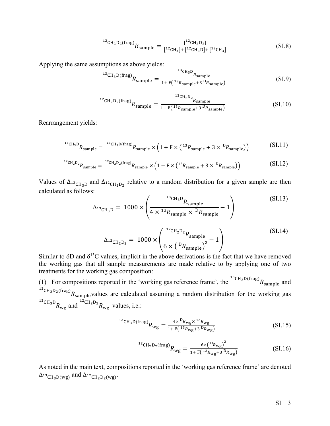$$
{}^{12}CH_2D_2(frag)R_{sample} = \frac{{}^{12}CH_2D_2}{[{}^{12}CH_4] + [{}^{12}CH_2D] + [{}^{13}CH_3]}
$$
(SI.8)

Applying the same assumptions as above yields:

$$
{}^{13}CH_3D(frag) \tR_{sample} = \frac{{}^{13}CH_3D_{R_{sample}}}{1 + F({}^{13}R_{sample} + 3{}^{D}R_{sample})}
$$
(SI.9)

$$
^{12} \text{CH}_2\text{D}_2(\text{frag})_{R_{\text{sample}}} = \frac{^{12} \text{CH}_2\text{D}_2_{R_{\text{sample}}}}{1 + \text{F}(\frac{^{13}R_{\text{sample}} + 3 \text{D}_{R_{\text{sample}}}}{)} \tag{S1.10}
$$

Rearrangement yields:

$$
^{13}CH_3D_{R_{sample}} = ^{13}CH_3D(frag)_{R_{sample}} \times \left(1 + F \times \left(^{13}R_{sample} + 3 \times \left.\right.^{D}R_{sample}\right)\right) \tag{S1.11}
$$

$$
^{12}CH_{2}D_{2}R_{sample} = ^{12}CH_{2}D_{2}(frag)R_{sample} \times (1 + F \times (^{13}R_{sample} + 3 \times ^{D}R_{sample}))
$$
 (SI.12)

Values of  $\Delta_{^{13}CH_3D}$  and  $\Delta_{^{12}CH_2D_2}$  relative to a random distribution for a given sample are then calculated as follows:

$$
\Delta_{^{13}CH_3D} = 1000 \times \left( \frac{^{^{13}CH_3D}R_{sample}}{4 \times ^{13}R_{sample} \times ^{D}R_{sample}} - 1 \right)
$$
\n(SI.13)\n
$$
\Delta_{^{12}CH_2D_2} = 1000 \times \left( \frac{^{^{12}CH_2D_2}R_{sample}}{6 \times \left( ^D R_{sample} \right)^2} - 1 \right)
$$
\n(SI.14)

Similar to  $\delta$ D and  $\delta$ <sup>13</sup>C values, implicit in the above derivations is the fact that we have removed the working gas that all sample measurements are made relative to by applying one of two treatments for the working gas composition:

(1) For compositions reported in the 'working gas reference frame', the  $^{^{13}CH_3D(frag)}R_{\text{sample}}$  and <sup>12</sup>CH<sub>2</sub>D<sub>2</sub>(frag)<sub>*R*sample</sub>values are calculated assuming a random distribution for the working gas <sup>12</sup>CH<sub>3</sub>D<sub>R<sub>wg</sub> and <sup>12</sup>CH<sub>2</sub>D<sub>2</sub><sub>R<sub>wg</sub> values, i.e.:</sub></sub>

$$
{}^{13}CH_3D(frag)_{Reg} = \frac{4 \times {}^{D}R_{wg} \times {}^{13}R_{wg}}{1 + F({}^{13}R_{wg} + 3{}^{D}R_{wg})}
$$
(SI.15)

$$
{}^{12}CH_2D_2(frag)_{Wg} = \frac{6 \times ({}^{D}R_{wg})^2}{1 + F({}^{13}R_{wg} + 3{}^{D}R_{wg})}
$$
(SI.16)

As noted in the main text, compositions reported in the 'working gas reference frame' are denoted  $\Delta_{^{13}CH_3D(wg)}$  and  $\Delta_{^{12}CH_2D_2(wg)}$ .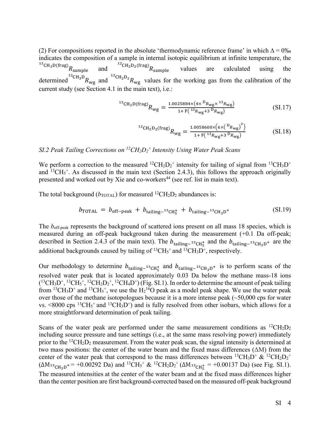(2) For compositions reported in the absolute 'thermodynamic reference frame' in which  $\Delta = 0\%$ indicates the composition of a sample in internal isotopic equilibrium at infinite temperature, the  $^{13}$ CH<sub>3</sub>D(frag)<sub> $R$ sample</sub> and  ${}^{12}CH_2D_2$  (frag)  $R_{\text{sample}}$ values are calculated using the determined <sup>12</sup>CH<sub>3</sub>D<sub>R<sub>wg</sub> and <sup>12</sup>CH<sub>2</sub>D<sub>2</sub><sub>R<sub>wg</sub> values for the working gas from the calibration of the</sub></sub> current study (see Section 4.1 in the main text), i.e.:

$$
{}^{13}CH_3D(frag)_{Reg} = \frac{1.0025884 \times (4 \times {}^{D}R_{wg} \times {}^{13}R_{wg})}{1 + F({}^{13}R_{wg} + 3{}^{D}R_{wg})}
$$
(SI.17)

$$
^{12} \text{CH}_2\text{D}_2(\text{frag}) R_{\text{wg}} = \frac{1.0058600 \times \left(6 \times \left(\frac{\text{D}_{R_{\text{wg}}}}{2}\right)^2\right)}{1 + \text{F}\left(\frac{13R_{\text{wg}} + 3 \text{D}_{R_{\text{wg}}}}{2}\right)} \tag{S1.18}
$$

## *SI.2 Peak Tailing Corrections on 12CH2D2 <sup>+</sup> Intensity Using Water Peak Scans*

We perform a correction to the measured  ${}^{12}CH_2D_2{}^+$  intensity for tailing of signal from  ${}^{13}CH_3D^+$ and  ${}^{13}CH_5{}^+$ . As discussed in the main text (Section 2.4.3), this follows the approach originally presented and worked out by Xie and co-workers<sup>44</sup> (see ref. list in main text).

The total background ( $b_{\text{TOTAL}}$ ) for measured <sup>12</sup>CH<sub>2</sub>D<sub>2</sub> abundances is:

$$
b_{\text{TOTAL}} = b_{\text{off-peak}} + b_{\text{tailing}^{-13} \text{CH}_5^+} + b_{\text{tailing}^{-13} \text{CH}_3 \text{D}^+}
$$
(S1.19)

The *b*<sub>off-peak</sub> represents the background of scattered ions present on all mass 18 species, which is measured during an off-peak background taken during the measurement (+0.1 Da off-peak; described in Section 2.4.3 of the main text). The  $b_{\text{tailing}^{-13}CH_5^+}$  and the  $b_{\text{tailing}^{-13}CH_3D^+}$  are the additional backgrounds caused by tailing of  ${}^{13}CH_{5}{}^{+}$  and  ${}^{13}CH_{3}D^{+}$ , respectively.

Our methodology to determine  $b_{\text{tailing} - 13}$   $_{\text{CH}^+}$  and  $b_{\text{tailing} - 13}$   $_{\text{CH}_3D^+}$  is to perform scans of the resolved water peak that is located approximately 0.03 Da below the methane mass-18 ions  $(^{13}CH_3D^+,~^{13}CH_5^+,~^{12}CH_2D_2^+,~^{12}CH_4D^+)$  (Fig. SI.1). In order to determine the amount of peak tailing from <sup>13</sup>CH<sub>3</sub>D<sup>+</sup> and <sup>13</sup>CH<sub>5</sub><sup>+</sup>, we use the H<sub>2</sub><sup>16</sup>O peak as a model peak shape. We use the water peak over those of the methane isotopologues because it is a more intense peak (~50,000 cps for water vs.  $\leq$ 8000 cps  $^{13}CH_5$ <sup>+</sup> and  $^{13}CH_3D$ <sup>+</sup>) and is fully resolved from other isobars, which allows for a more straightforward determination of peak tailing.

Scans of the water peak are performed under the same measurement conditions as  ${}^{12}CH_2D_2$ including source pressure and tune settings (i.e., at the same mass resolving power) immediately prior to the  ${}^{12}CH_2D_2$  measurement. From the water peak scan, the signal intensity is determined at two mass positions: the center of the water beam and the fixed mass differences  $(\Delta M)$  from the center of the water peak that correspond to the mass differences between  ${}^{13}CH_3D^+$  &  ${}^{12}CH_2D_2^+$  $(\Delta M_{^{13}CH_3D}^{+} = +0.00292 \text{ Da})$  and  $^{13}CH_5^{+} \& ^{12}CH_2D_2^{+} (\Delta M_{^{13}CH_5^{+}} = +0.00137 \text{ Da})$  (see Fig. SI.1). The measured intensities at the center of the water beam and at the fixed mass differences higher than the center position are first background-corrected based on the measured off-peak background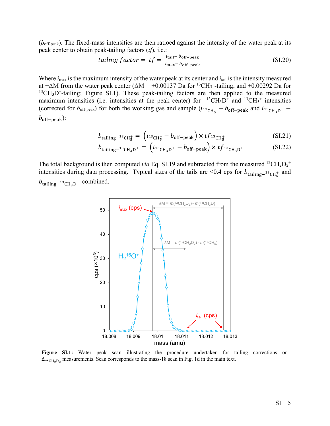(*b*off-peak). The fixed-mass intensities are then ratioed against the intensity of the water peak at its peak center to obtain peak-tailing factors (*tf*), i.e.:

$$
tailing factor = tf = \frac{i_{\text{tail}} - b_{\text{off-peak}}}{i_{\text{max}} - b_{\text{off-peak}}} \tag{S1.20}
$$

Where  $i_{\text{max}}$  is the maximum intensity of the water peak at its center and  $i_{\text{tail}}$  is the intensity measured at + $\Delta M$  from the water peak center ( $\Delta M$  = +0.00137 Da for <sup>13</sup>CH<sub>5</sub><sup>+</sup>-tailing, and +0.00292 Da for  $^{13}CH_3D^+$ -tailing; Figure SI.1). These peak-tailing factors are then applied to the measured maximum intensities (i.e. intensities at the peak center) for  $^{13}CH_3D^+$  and  $^{13}CH_5^+$  intensities (corrected for *b*<sub>off-peak</sub>) for both the working gas and sample  $(i_{13}$ <sub>CH<sub>5</sub></sub> – *b*<sub>off-peak</sub> and  $i_{13}$ <sub>CH<sub>3</sub>D<sup>+</sup></sub> –  $b_{\text{off}-\text{peak}}$ :

$$
b_{\text{tailing}^{-13}\text{CH}_5^+} = \left(i_{\text{13}_{\text{CH}_5^+}} - b_{\text{off-peak}}\right) \times t f_{\text{13}_{\text{CH}_5^+}} \tag{S1.21}
$$

$$
b_{\text{tailing}^{-13} \text{CH}_3 \text{D}^+} = (i_{\text{13}_{\text{CH}_3 \text{D}^+}} - b_{\text{off-peak}}) \times t f_{\text{13}_{\text{CH}_3 \text{D}^+}} \tag{S1.22}
$$

The total background is then computed *via* Eq. SI.19 and subtracted from the measured  $^{12}CH_2D_2^+$ intensities during data processing. Typical sizes of the tails are <0.4 cps for  $b_{\text{tailing}-13}$  cH<sub>5</sub><sup>+</sup></sub> and  $b_{\text{tailing}-^{13}CH_3D}$ + combined.



**Figure SI.1:** Water peak scan illustrating the procedure undertaken for tailing corrections on  $\Delta_{^{12}CH_2D_2}$  measurements. Scan corresponds to the mass-18 scan in Fig. 1d in the main text.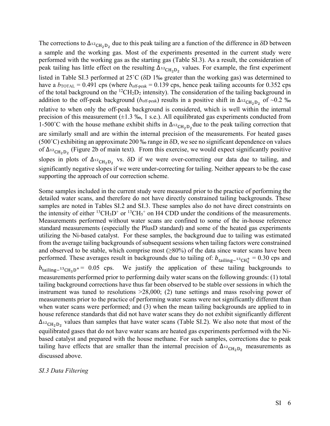The corrections to  $\Delta_{^{12}CH_2D_2}$  due to this peak tailing are a function of the difference in  $\delta D$  between a sample and the working gas. Most of the experiments presented in the current study were performed with the working gas as the starting gas (Table SI.3). As a result, the consideration of peak tailing has little effect on the resulting  $\Delta_{^{12}CH_2D_2}$  values. For example, the first experiment listed in Table SI.3 performed at  $25^{\circ}$ C ( $\delta$ D 1‰ greater than the working gas) was determined to have a  $b_{\text{TOTAL}} = 0.491$  cps (where  $b_{\text{off-peak}} = 0.139$  cps, hence peak tailing accounts for 0.352 cps of the total background on the  ${}^{12}CH_2D_2$  intensity). The consideration of the tailing background in addition to the off-peak background ( $b_{\text{off-peak}}$ ) results in a positive shift in  $\Delta_{^{12}CH_2D_2}$  of ~0.2 ‰ relative to when only the off-peak background is considered, which is well within the internal precision of this measurement  $(\pm 1.3 \text{ %}, 1 \text{ s.e.})$ . All equilibrated gas experiments conducted from 1-500°C with the house methane exhibit shifts in  $\Delta_{^{12}CH_2D_2}$  due to the peak tailing correction that are similarly small and are within the internal precision of the measurements. For heated gases  $(500°C)$  exhibiting an approximate 200 ‰ range in  $\delta D$ , we see no significant dependence on values of  $\Delta_{^{12}CH_2D_2}$  (Figure 2b of main text). From this exercise, we would expect significantly positive slopes in plots of  $\Delta_{^{12}CH_2D_2}$  vs.  $\delta D$  if we were over-correcting our data due to tailing, and significantly negative slopes if we were under-correcting for tailing. Neither appears to be the case supporting the approach of our correction scheme.

Some samples included in the current study were measured prior to the practice of performing the detailed water scans, and therefore do not have directly constrained tailing backgrounds. These samples are noted in Tables SI.2 and SI.3. These samples also do not have direct constraints on the intensity of either  ${}^{13}CH_3D^+$  or  ${}^{13}CH_5^+$  on H4 CDD under the conditions of the measurements. Measurements performed without water scans are confined to some of the in-house reference standard measurements (especially the PlusD standard) and some of the heated gas experiments utilizing the Ni-based catalyst. For these samples, the background due to tailing was estimated from the average tailing backgrounds of subsequent sessions when tailing factors were constrained and observed to be stable, which comprise most  $(\geq 80\%)$  of the data since water scans have been performed. These averages result in backgrounds due to tailing of:  $b_{\text{tailing}^{-13}CH_5^+} = 0.30$  cps and  $b_{\text{tailing}}$ -<sup>13</sup>CH<sub>3</sub>D<sup>+</sup> = 0.05 cps. We justify the application of these tailing backgrounds to measurements performed prior to performing daily water scans on the following grounds: (1) total tailing background corrections have thus far been observed to be stable over sessions in which the instrument was tuned to resolutions >28,000; (2) tune settings and mass resolving power of measurements prior to the practice of performing water scans were not significantly different than when water scans were performed; and (3) when the mean tailing backgrounds are applied to in house reference standards that did not have water scans they do not exhibit significantly different  $\Delta_{^{12}CH_2D_2}$  values than samples that have water scans (Table SI.2). We also note that most of the equilibrated gases that do not have water scans are heated gas experiments performed with the Nibased catalyst and prepared with the house methane. For such samples, corrections due to peak tailing have effects that are smaller than the internal precision of  $\Delta_{^{12}CH_2D_2}$  measurements as discussed above.

## *SI.3 Data Filtering*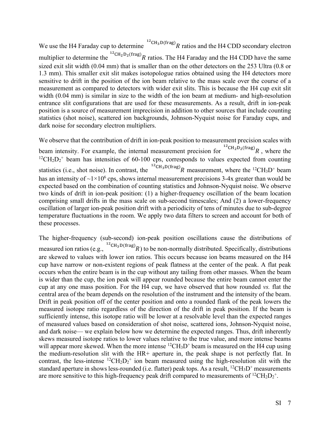We use the H4 Faraday cup to determine  $^{^{12}CH_3D(frag)}R$  ratios and the H4 CDD secondary electron multiplier to determine the  ${}^{12}$ CH<sub>2</sub>D<sub>2</sub>(frag)<sub>*R*</sub> ratios. The H4 Faraday and the H4 CDD have the same sized exit slit width (0.04 mm) that is smaller than on the other detectors on the 253 Ultra (0.8 or 1.3 mm). This smaller exit slit makes isotopologue ratios obtained using the H4 detectors more sensitive to drift in the position of the ion beam relative to the mass scale over the course of a measurement as compared to detectors with wider exit slits. This is because the H4 cup exit slit width (0.04 mm) is similar in size to the width of the ion beam at medium- and high-resolution entrance slit configurations that are used for these measurements. As a result, drift in ion-peak position is a source of measurement imprecision in addition to other sources that include counting statistics (shot noise), scattered ion backgrounds, Johnson-Nyquist noise for Faraday cups, and dark noise for secondary electron multipliers.

We observe that the contribution of drift in ion-peak position to measurement precision scales with beam intensity. For example, the internal measurement precision for  ${}^{12}CH_2D_2(frag)$ , where the  ${}^{12}CH_2D_2$ <sup>+</sup> beam has intensities of 60-100 cps, corresponds to values expected from counting statistics (i.e., shot noise). In contrast, the  ${}^{12}CH_3D(frag)$  measurement, where the  ${}^{12}CH_3D^+$  beam has an intensity of  $\sim$ 1×10<sup>6</sup> cps, shows internal measurement precisions 3-4x greater than would be expected based on the combination of counting statistics and Johnson-Nyquist noise. We observe two kinds of drift in ion-peak position: (1) a higher-frequency oscillation of the beam location comprising small drifts in the mass scale on sub-second timescales; And (2) a lower-frequency oscillation of larger ion-peak position drift with a periodicity of tens of minutes due to sub-degree temperature fluctuations in the room. We apply two data filters to screen and account for both of these processes.

The higher-frequency (sub-second) ion-peak position oscillations cause the distributions of measured ion ratios (e.g.,  ${}^{12}$ CH<sub>3</sub>D(frag)<sub>R</sub>) to be non-normally distributed. Specifically, distributions are skewed to values with lower ion ratios. This occurs because ion beams measured on the H4 cup have narrow or non-existent regions of peak flatness at the center of the peak. A flat peak occurs when the entire beam is in the cup without any tailing from other masses. When the beam is wider than the cup, the ion peak will appear rounded because the entire beam cannot enter the cup at any one mass position. For the H4 cup, we have observed that how rounded *vs.* flat the central area of the beam depends on the resolution of the instrument and the intensity of the beam. Drift in peak position off of the center position and onto a rounded flank of the peak lowers the measured isotope ratio regardless of the direction of the drift in peak position. If the beam is sufficiently intense, this isotope ratio will be lower at a resolvable level than the expected ranges of measured values based on consideration of shot noise, scattered ions, Johnson-Nyquist noise, and dark noise— we explain below how we determine the expected ranges. Thus, drift inherently skews measured isotope ratios to lower values relative to the true value, and more intense beams will appear more skewed. When the more intense  ${}^{12}CH_3D^+$  beam is measured on the H4 cup using the medium-resolution slit with the HR+ aperture in, the peak shape is not perfectly flat. In contrast, the less-intense  ${}^{12}CH_2D_2$ <sup>+</sup> ion beam measured using the high-resolution slit with the standard aperture in shows less-rounded (i.e. flatter) peak tops. As a result,  ${}^{12}CH_3D^+$  measurements are more sensitive to this high-frequency peak drift compared to measurements of  ${}^{12}CH_2D_2^+$ .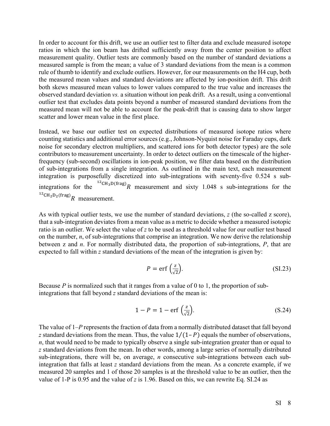In order to account for this drift, we use an outlier test to filter data and exclude measured isotope ratios in which the ion beam has drifted sufficiently away from the center position to affect measurement quality. Outlier tests are commonly based on the number of standard deviations a measured sample is from the mean; a value of 3 standard deviations from the mean is a common rule of thumb to identify and exclude outliers. However, for our measurements on the H4 cup, both the measured mean values and standard deviations are affected by ion-position drift. This drift both skews measured mean values to lower values compared to the true value and increases the observed standard deviation *vs.* a situation without ion peak drift. As a result, using a conventional outlier test that excludes data points beyond a number of measured standard deviations from the measured mean will not be able to account for the peak-drift that is causing data to show larger scatter and lower mean value in the first place.

Instead, we base our outlier test on expected distributions of measured isotope ratios where counting statistics and additional error sources (e.g., Johnson-Nyquist noise for Faraday cups, dark noise for secondary electron multipliers, and scattered ions for both detector types) are the sole contributors to measurement uncertainty. In order to detect outliers on the timescale of the higherfrequency (sub-second) oscillations in ion-peak position, we filter data based on the distribution of sub-integrations from a single integration. As outlined in the main text, each measurement integration is purposefully discretized into sub-integrations with seventy-five 0.524 s subintegrations for the  $^{12}$ CH<sub>3</sub>D(frag)<sub>R</sub> measurement and sixty 1.048 s sub-integrations for the <sup>12</sup>CH<sub>2</sub>D<sub>2</sub>(frag)<sub>*R*</sub> measurement.

As with typical outlier tests, we use the number of standard deviations, *z* (the so-called z score), that a sub-integration deviates from a mean value as a metric to decide whether a measured isotopic ratio is an outlier. We select the value of *z* to be used as a threshold value for our outlier test based on the number, *n*, of sub-integrations that comprise an integration. We now derive the relationship between z and *n*. For normally distributed data, the proportion of sub-integrations, *P*, that are expected to fall within *z* standard deviations of the mean of the integration is given by:

$$
P = \text{erf}\left(\frac{z}{\sqrt{2}}\right). \tag{S1.23}
$$

Because  $P$  is normalized such that it ranges from a value of 0 to 1, the proportion of subintegrations that fall beyond *z* standard deviations of the mean is:

$$
1 - P = 1 - \text{erf}\left(\frac{z}{\sqrt{2}}\right). \tag{S.24}
$$

The value of 1–*P* represents the fraction of data from a normally distributed dataset that fall beyond *z* standard deviations from the mean. Thus, the value  $1/(1-P)$  equals the number of observations, *n*, that would need to be made to typically observe a single sub-integration greater than or equal to *z* standard deviations from the mean. In other words, among a large series of normally distributed sub-integrations, there will be, on average, *n* consecutive sub-integrations between each subintegration that falls at least *z* standard deviations from the mean. As a concrete example, if we measured 20 samples and 1 of those 20 samples is at the threshold value to be an outlier, then the value of 1-P is 0.95 and the value of *z* is 1.96. Based on this, we can rewrite Eq. SI.24 as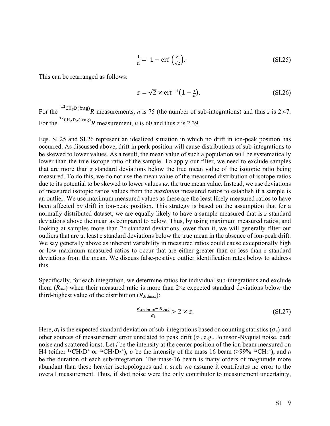$$
\frac{1}{n} = 1 - \text{erf}\left(\frac{z}{\sqrt{2}}\right). \tag{S1.25}
$$

This can be rearranged as follows:

$$
z = \sqrt{2} \times \text{erf}^{-1} \left( 1 - \frac{1}{n} \right). \tag{S1.26}
$$

For the <sup>12</sup>CH<sub>3</sub>D(frag)<sub>R</sub> measurements, *n* is 75 (the number of sub-integrations) and thus *z* is 2.47. For the  ${}^{12}$ CH<sub>2</sub>D<sub>2</sub>(frag)<sub>*R*</sub> measurement, *n* is 60 and thus *z* is 2.39.

Eqs. SI.25 and SI.26 represent an idealized situation in which no drift in ion-peak position has occurred. As discussed above, drift in peak position will cause distributions of sub-integrations to be skewed to lower values. As a result, the mean value of such a population will be systematically lower than the true isotope ratio of the sample. To apply our filter, we need to exclude samples that are more than *z* standard deviations below the true mean value of the isotopic ratio being measured. To do this, we do not use the mean value of the measured distribution of isotope ratios due to its potential to be skewed to lower values *vs*. the true mean value. Instead, we use deviations of measured isotopic ratios values from the *maximum* measured ratios to establish if a sample is an outlier. We use maximum measured values as these are the least likely measured ratios to have been affected by drift in ion-peak position. This strategy is based on the assumption that for a normally distributed dataset, we are equally likely to have a sample measured that is *z* standard deviations above the mean as compared to below. Thus, by using maximum measured ratios, and looking at samples more than 2*z* standard deviations lower than it, we will generally filter out outliers that are at least *z* standard deviations below the true mean in the absence of ion-peak drift. We say generally above as inherent variability in measured ratios could cause exceptionally high or low maximum measured ratios to occur that are either greater than or less than *z* standard deviations from the mean. We discuss false-positive outlier identification rates below to address this.

Specifically, for each integration, we determine ratios for individual sub-integrations and exclude them  $(R_{out})$  when their measured ratio is more than  $2 \times z$  expected standard deviations below the third-highest value of the distribution  $(R_{3rdmax})$ :

$$
\frac{R_{\text{3rdmax}} - R_{\text{out}}}{\sigma_t} > 2 \times z. \tag{S1.27}
$$

Here,  $\sigma_t$  is the expected standard deviation of sub-integrations based on counting statistics ( $\sigma_c$ ) and other sources of measurement error unrelated to peak drift ( $\sigma_i$ , e.g., Johnson-Nyquist noise, dark noise and scattered ions). Let *i* be the intensity at the center position of the ion beam measured on H4 (either <sup>12</sup>CH<sub>3</sub>D<sup>+</sup> or <sup>12</sup>CH<sub>2</sub>D<sub>2</sub><sup>+</sup>), *i<sub>b</sub>* be the intensity of the mass 16 beam (>99% <sup>12</sup>CH<sub>4</sub><sup>+</sup>), and *t<sub>i</sub>* be the duration of each sub-integration. The mass-16 beam is many orders of magnitude more abundant than these heavier isotopologues and a such we assume it contributes no error to the overall measurement. Thus, if shot noise were the only contributor to measurement uncertainty,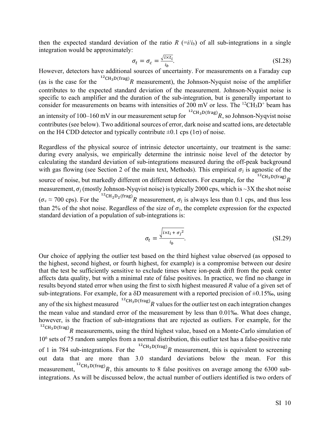then the expected standard deviation of the ratio *R* ( $=i/i_b$ ) of all sub-integrations in a single integration would be approximately:

$$
\sigma_t = \sigma_c = \frac{\sqrt{i \times t_i}}{i_b}.
$$
 (SI.28)

However, detectors have additional sources of uncertainty. For measurements on a Faraday cup (as is the case for the  $^{12}$ CH<sub>3</sub>D(frag)<sub>R</sub> measurement), the Johnson-Nyquist noise of the amplifier contributes to the expected standard deviation of the measurement. Johnson-Nyquist noise is specific to each amplifier and the duration of the sub-integration, but is generally important to consider for measurements on beams with intensities of 200 mV or less. The  $^{12}CH_3D^+$  beam has an intensity of 100–160 mV in our measurement setup for  ${}^{12}CH_3D(frag)$  R, so Johnson-Nyqvist noise contributes (see below). Two additional sources of error, dark noise and scatted ions, are detectable on the H4 CDD detector and typically contribute  $\pm 0.1$  cps (1 $\sigma$ ) of noise.

Regardless of the physical source of intrinsic detector uncertainty, our treatment is the same: during every analysis, we empirically determine the intrinsic noise level of the detector by calculating the standard deviation of sub-integrations measured during the off-peak background with gas flowing (see Section 2 of the main text, Methods). This empirical  $\sigma_j$  is agnostic of the<br>section for the <sup>12</sup>CH<sub>3</sub>D(frag)<sub>R</sub> source of noise, but markedly different on different detectors. For example, for the measurement,  $\sigma_i$  (mostly Johnson-Nyqvist noise) is typically 2000 cps, which is ~3X the shot noise  $(\sigma_c \approx 700 \text{ cps})$ . For the <sup>12</sup>CH<sub>2</sub>D<sub>2</sub>(frag)<sub>*R*</sub> measurement,  $\sigma_j$  is always less than 0.1 cps, and thus less than 2% of the shot noise. Regardless of the size of  $\sigma_i$ , the complete expression for the expected standard deviation of a population of sub-integrations is:

$$
\sigma_t = \frac{\sqrt{i \times t_i + \sigma_j^2}}{i_b}.
$$
 (SI.29)

Our choice of applying the outlier test based on the third highest value observed (as opposed to the highest, second highest, or fourth highest, for example) is a compromise between our desire that the test be sufficiently sensitive to exclude times where ion-peak drift from the peak center affects data quality, but with a minimal rate of false positives. In practice, we find no change in results beyond stated error when using the first to sixth highest measured *R* value of a given set of sub-integrations. For example, for a  $\delta D$  measurement with a reported precision of  $\pm 0.15\%$ , using any of the six highest measured  ${}^{12}$ CH<sub>3</sub>D(frag)<sub>R</sub> values for the outlier test on each integration changes the mean value and standard error of the measurement by less than 0.01‰. What does change, however, is the fraction of sub-integrations that are rejected as outliers. For example, for the <sup>12</sup>CH<sub>3</sub>D(frag)<sub>R</sub> measurements, using the third highest value, based on a Monte-Carlo simulation of 10<sup>6</sup> sets of 75 random samples from a normal distribution, this outlier test has a false-positive rate of 1 in 784 sub-integrations. For the  ${}^{12}$ CH<sub>3</sub>D(frag)<sub>R</sub> measurement, this is equivalent to screening out data that are more than 3.0 standard deviations below the mean. For this measurement, <sup>12</sup>CH<sub>3</sub>D(frag)<sub>R</sub>, this amounts to 8 false positives on average among the 6300 subintegrations. As will be discussed below, the actual number of outliers identified is two orders of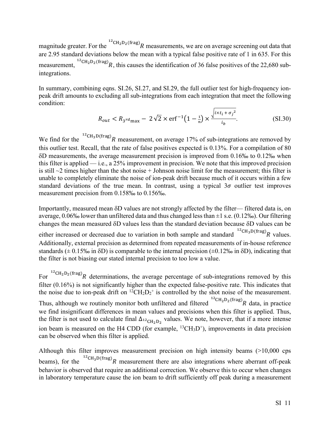magnitude greater. For the  ${}^{12}$ CH<sub>2</sub>D<sub>2</sub>(frag)<sub>R</sub> measurements, we are on average screening out data that are 2.95 standard deviations below the mean with a typical false positive rate of 1 in 635. For this measurement, <sup>12</sup>CH<sub>2</sub>D<sub>2</sub>(frag)<sub>R</sub>, this causes the identification of 36 false positives of the 22,680 subintegrations.

In summary, combining eqns. SI.26, SI.27, and SI.29, the full outlier test for high-frequency ionpeak drift amounts to excluding all sub-integrations from each integration that meet the following condition:

$$
R_{out} < R_{3}r_{max} - 2\sqrt{2} \times \text{erf}^{-1}\left(1 - \frac{1}{n}\right) \times \frac{\sqrt{i \times t_i + \sigma_j^2}}{i_b}.\tag{S1.30}
$$

We find for the  $^{12}$ CH<sub>3</sub>D(frag)<sub>R</sub> measurement, on average 17% of sub-integrations are removed by this outlier test. Recall, that the rate of false positives expected is 0.13%. For a compilation of 80  $\delta$ D measurements, the average measurement precision is improved from 0.16‰ to 0.12‰ when this filter is applied — i.e., a 25% improvement in precision. We note that this improved precision is still  $\sim$ 2 times higher than the shot noise + Johnson noise limit for the measurement; this filter is unable to completely eliminate the noise of ion-peak drift because much of it occurs within a few standard deviations of the true mean. In contrast, using a typical  $3\sigma$  outlier test improves measurement precision from 0.158‰ to 0.156‰.

Importantly, measured mean  $\delta D$  values are not strongly affected by the filter— filtered data is, on average, 0.06‰ lower than unfiltered data and thus changed less than  $\pm 1$  s.e. (0.12‰). Our filtering changes the mean measured  $\delta D$  values less than the standard deviation because  $\delta D$  values can be<br>defined and decreased due to variation in both sample and standard  $\sigma^2 CH_3D(frag)$  values. either increased or decreased due to variation in both sample and standard Additionally, external precision as determined from repeated measurements of in-house reference standards ( $\pm$  0.15‰ in  $\delta$ D) is comparable to the internal precision ( $\pm$ 0.12‰ in  $\delta$ D), indicating that the filter is not biasing our stated internal precision to too low a value.

For  ${}^{12}$ CH<sub>2</sub>D<sub>2</sub>(frag)<sub>R</sub> determinations, the average percentage of sub-integrations removed by this filter (0.16%) is not significantly higher than the expected false-positive rate. This indicates that the noise due to ion-peak drift on  ${}^{12}CH_2D_2$ <sup>+</sup> is controlled by the shot noise of the measurement. Thus, although we routinely monitor both unfiltered and filtered  $^{12}$ CH<sub>2</sub>D<sub>2</sub>(frag)<sub>R</sub> data, in practice we find insignificant differences in mean values and precisions when this filter is applied. Thus, the filter is not used to calculate final  $\Delta_{^{12}CH_2D_2}$  values. We note, however, that if a more intense ion beam is measured on the H4 CDD (for example,  ${}^{13}CH_3D^+$ ), improvements in data precision can be observed when this filter is applied.

Although this filter improves measurement precision on high intensity beams (>10,000 cps beams), for the  $^{12}$ CH<sub>3</sub>D(frag)<sub>R</sub> measurement there are also integrations where aberrant off-peak behavior is observed that require an additional correction. We observe this to occur when changes in laboratory temperature cause the ion beam to drift sufficiently off peak during a measurement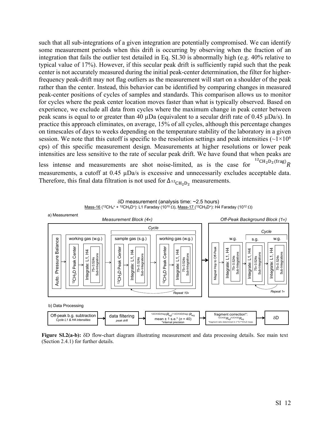such that all sub-integrations of a given integration are potentially compromised. We can identify some measurement periods when this drift is occurring by observing when the fraction of an integration that fails the outlier test detailed in Eq. SI.30 is abnormally high (e.g. 40% relative to typical value of 17%). However, if this secular peak drift is sufficiently rapid such that the peak center is not accurately measured during the initial peak-center determination, the filter for higherfrequency peak-drift may not flag outliers as the measurement will start on a shoulder of the peak rather than the center. Instead, this behavior can be identified by comparing changes in measured peak-center positions of cycles of samples and standards. This comparison allows us to monitor for cycles where the peak center location moves faster than what is typically observed. Based on experience, we exclude all data from cycles where the maximum change in peak center between peak scans is equal to or greater than 40  $\mu$ Da (equivalent to a secular drift rate of 0.45  $\mu$ Da/s). In practice this approach eliminates, on average, 15% of all cycles, although this percentage changes on timescales of days to weeks depending on the temperature stability of the laboratory in a given session. We note that this cutoff is specific to the resolution settings and peak intensities  $(\sim 1 \times 10^6$ cps) of this specific measurement design. Measurements at higher resolutions or lower peak intensities are less sensitive to the rate of secular peak drift. We have found that when peaks are less sensitive to the rate of  $\frac{12 \text{CH}_2\text{D}_2\text{(frag)}}{12 \text{CH}_2\text{D}_2\text{(frag)}}$ less intense and measurements are shot noise-limited, as is the case for measurements, a cutoff at 0.45  $\mu$ Da/s is excessive and unnecessarily excludes acceptable data. Therefore, this final data filtration is not used for  $\Delta_{^{12}CH_2D_2}$  measurements.



 $\delta$ D measurement (analysis time:  $\sim$ 2.5 hours) <u>Mass-16</u> (<sup>12</sup>CH<sub>4</sub>\* + <sup>12</sup>CH<sub>2</sub>D\*): L1 Faraday (10<sup>10</sup> Ω), <u>Mass-17 (</u>12CH<sub>3</sub>D\*): H4 Faraday (10<sup>12</sup> Ω)

**Figure SI.2(a-b):**  $\delta$ D flow-chart diagram illustrating measurement and data processing details. See main text (Section 2.4.1) for further details.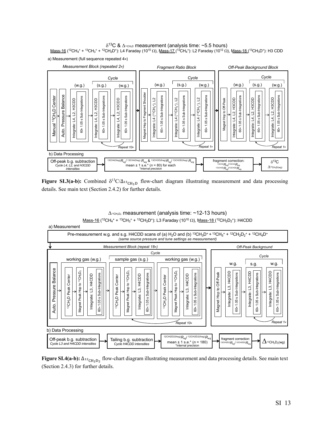$\delta^{13}$ C &  $\Delta^{13}$ cH<sub>3</sub>D measurement (analysis time: ~5.5 hours) M<u>ass-16</u> (<sup>12</sup>CH<sub>4</sub>\* + <sup>13</sup>CH<sub>3</sub>\* + <sup>12</sup>CH<sub>2</sub>D\*): L4 Faraday (10<sup>10</sup> Ω), <u>Mass-17</u> (<sup>13</sup>CH<sub>4</sub>\*): L2 Faraday (10<sup>12</sup> Ω), <u>Mass-18 (</u><sup>13</sup>CH<sub>3</sub>D\*): H3 CDD



**Figure SI.3(a-b):** Combined  $\delta^{13}C/\Delta_{13}$  flow-chart diagram illustrating measurement and data processing details. See main text (Section 2.4.2) for further details.



**Figure SI.4(a-b):**  $\Delta_{12}$  flow-chart diagram illustrating measurement and data processing details. See main text (Section 2.4.3) for further details.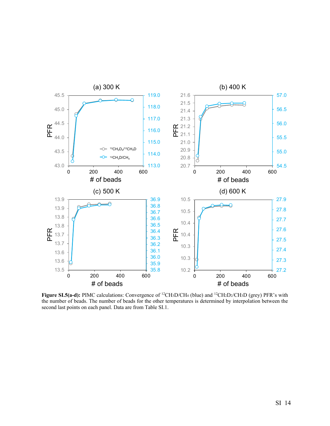

Figure SI.5(a-d): PIMC calculations: Convergence of <sup>12</sup>CH<sub>3</sub>D/CH<sub>4</sub> (blue) and <sup>12</sup>CH<sub>2</sub>D<sub>2</sub>/CH<sub>3</sub>D (grey) PFR's with the number of beads. The number of beads for the other temperatures is determined by interpolation between the second last points on each panel. Data are from Table SI.1.